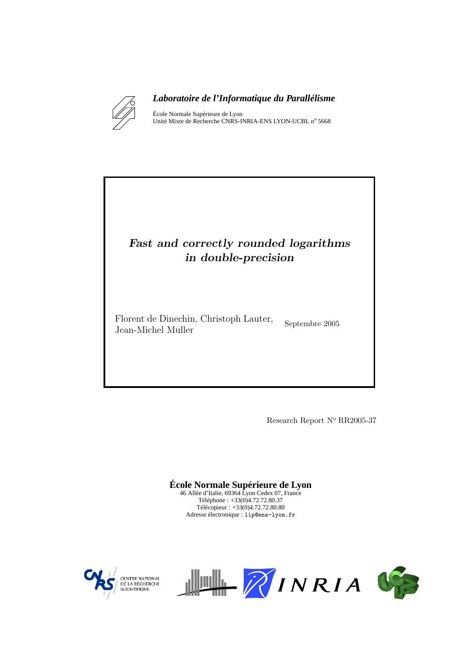

### *Laboratoire de l'Informatique du Parallélisme*

École Normale Supérieure de Lyon Unité Mixte de Recherche CNRS-INRIA-ENS LYON-UCBL nº 5668

# Fast and correctly rounded logarithms in double-precision

Florent de Dinechin, Christoph Lauter, Jean-Michel Muller

Septembre 2005

Research Report N° RR2005-37

**École Normale Supérieure de Lyon** 46 Allée d'Italie, 69364 Lyon Cedex 07, France Téléphone : +33(0)4.72.72.80.37 Télécopieur : +33(0)4.72.72.80.80 Adresse électronique : lip@ens-lyon.fr



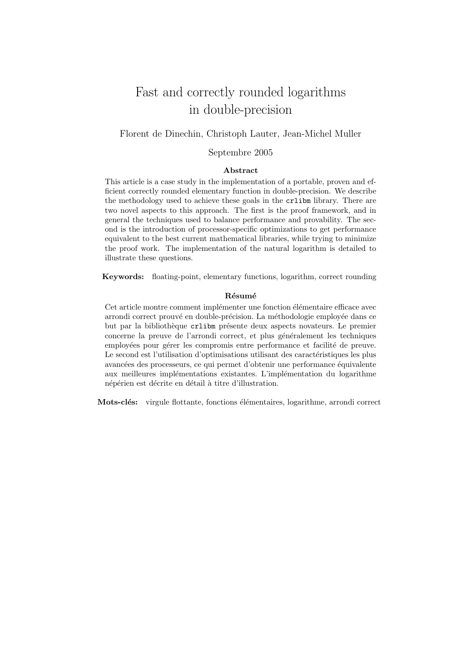# Fast and correctly rounded logarithms in double-precision

#### Florent de Dinechin, Christoph Lauter, Jean-Michel Muller

#### Septembre 2005

#### Abstract

This article is a case study in the implementation of a portable, proven and efficient correctly rounded elementary function in double-precision. We describe the methodology used to achieve these goals in the crlibm library. There are two novel aspects to this approach. The first is the proof framework, and in general the techniques used to balance performance and provability. The second is the introduction of processor-specific optimizations to get performance equivalent to the best current mathematical libraries, while trying to minimize the proof work. The implementation of the natural logarithm is detailed to illustrate these questions.

Keywords: floating-point, elementary functions, logarithm, correct rounding

#### Résumé

Cet article montre comment implémenter une fonction élémentaire efficace avec arrondi correct prouvé en double-précision. La méthodologie employée dans ce but par la bibliothèque crlibm présente deux aspects novateurs. Le premier concerne la preuve de l'arrondi correct, et plus généralement les techniques employées pour gérer les compromis entre performance et facilité de preuve. Le second est l'utilisation d'optimisations utilisant des caractéristiques les plus avancées des processeurs, ce qui permet d'obtenir une performance équivalente aux meilleures implémentations existantes. L'implémentation du logarithme népérien est décrite en détail à titre d'illustration.

Mots-clés: virgule flottante, fonctions élémentaires, logarithme, arrondi correct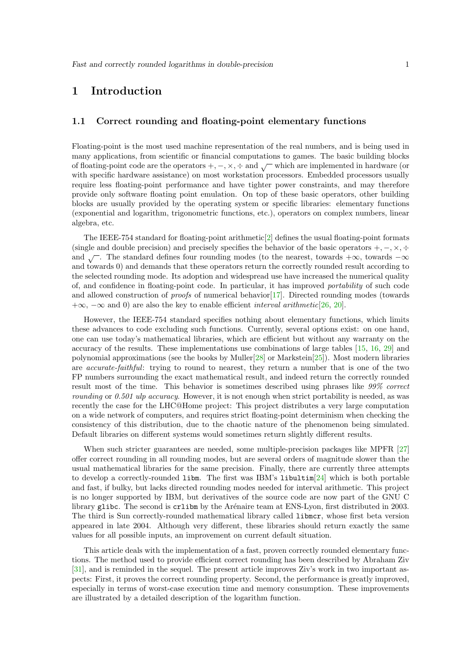# 1 Introduction

#### 1.1 Correct rounding and floating-point elementary functions

Floating-point is the most used machine representation of the real numbers, and is being used in many applications, from scientific or financial computations to games. The basic building blocks of floating-point code are the operators  $+$ ,  $-$ ,  $\times$ ,  $\div$  and  $\sqrt{\phantom{a}}$  which are implemented in hardware (or with specific hardware assistance) on most workstation processors. Embedded processors usually require less floating-point performance and have tighter power constraints, and may therefore provide only software floating point emulation. On top of these basic operators, other building blocks are usually provided by the operating system or specific libraries: elementary functions (exponential and logarithm, trigonometric functions, etc.), operators on complex numbers, linear algebra, etc.

The IEEE-754 standard for floating-point arithmetic $[2]$  defines the usual floating-point formats (single and double precision) and precisely specifies the behavior of the basic operators  $+$ ,  $-$ ,  $\times$ ,  $\div$ and  $\sqrt{\ }$ . The standard defines four rounding modes (to the nearest, towards +∞, towards -∞ and towards 0) and demands that these operators return the correctly rounded result according to the selected rounding mode. Its adoption and widespread use have increased the numerical quality of, and confidence in floating-point code. In particular, it has improved portability of such code and allowed construction of proofs of numerical behavior[\[17\]](#page-14-0). Directed rounding modes (towards  $+\infty$ ,  $-\infty$  and 0) are also the key to enable efficient *interval arithmetic*[\[26,](#page-14-1) [20\]](#page-14-2).

However, the IEEE-754 standard specifies nothing about elementary functions, which limits these advances to code excluding such functions. Currently, several options exist: on one hand, one can use today's mathematical libraries, which are efficient but without any warranty on the accuracy of the results. These implementations use combinations of large tables [\[15,](#page-14-3) [16,](#page-14-4) [29\]](#page-14-5) and polynomial approximations (see the books by Muller $[28]$  or Markstein $[25]$ ). Most modern libraries are *accurate-faithful*: trying to round to nearest, they return a number that is one of the two FP numbers surrounding the exact mathematical result, and indeed return the correctly rounded result most of the time. This behavior is sometimes described using phrases like 99% correct rounding or 0.501 ulp accuracy. However, it is not enough when strict portability is needed, as was recently the case for the LHC@Home project: This project distributes a very large computation on a wide network of computers, and requires strict floating-point determinism when checking the consistency of this distribution, due to the chaotic nature of the phenomenon being simulated. Default libraries on different systems would sometimes return slightly different results.

When such stricter guarantees are needed, some multiple-precision packages like MPFR [\[27\]](#page-14-8) offer correct rounding in all rounding modes, but are several orders of magnitude slower than the usual mathematical libraries for the same precision. Finally, there are currently three attempts to develop a correctly-rounded libm. The first was IBM's libultim[\[24\]](#page-14-9) which is both portable and fast, if bulky, but lacks directed rounding modes needed for interval arithmetic. This project is no longer supported by IBM, but derivatives of the source code are now part of the GNU C library glibc. The second is crlibm by the Arénaire team at ENS-Lyon, first distributed in 2003. The third is Sun correctly-rounded mathematical library called libmcr, whose first beta version appeared in late 2004. Although very different, these libraries should return exactly the same values for all possible inputs, an improvement on current default situation.

This article deals with the implementation of a fast, proven correctly rounded elementary functions. The method used to provide efficient correct rounding has been described by Abraham Ziv [\[31\]](#page-15-0), and is reminded in the sequel. The present article improves Ziv's work in two important aspects: First, it proves the correct rounding property. Second, the performance is greatly improved, especially in terms of worst-case execution time and memory consumption. These improvements are illustrated by a detailed description of the logarithm function.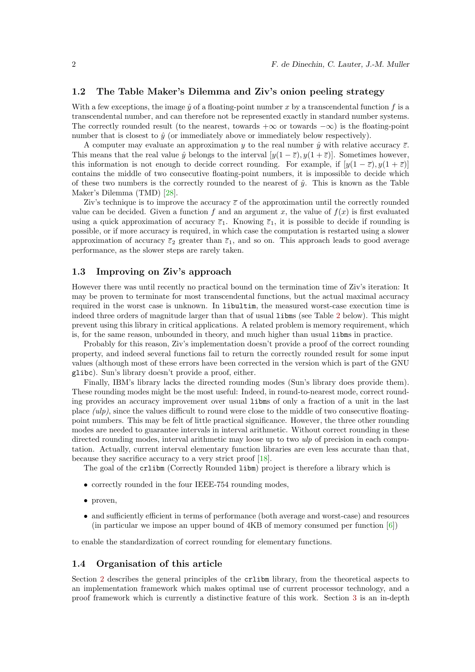#### 1.2 The Table Maker's Dilemma and Ziv's onion peeling strategy

With a few exceptions, the image  $\hat{y}$  of a floating-point number x by a transcendental function f is a transcendental number, and can therefore not be represented exactly in standard number systems. The correctly rounded result (to the nearest, towards  $+\infty$  or towards  $-\infty$ ) is the floating-point number that is closest to  $\hat{y}$  (or immediately above or immediately below respectively).

A computer may evaluate an approximation y to the real number  $\hat{y}$  with relative accuracy  $\bar{\varepsilon}$ . This means that the real value  $\hat{y}$  belongs to the interval  $[y(1 - \overline{\varepsilon}), y(1 + \overline{\varepsilon})]$ . Sometimes however, this information is not enough to decide correct rounding. For example, if  $[y(1 - \overline{\varepsilon}), y(1 + \overline{\varepsilon})]$ contains the middle of two consecutive floating-point numbers, it is impossible to decide which of these two numbers is the correctly rounded to the nearest of  $\hat{y}$ . This is known as the Table Maker's Dilemma (TMD) [\[28\]](#page-14-6).

Ziv's technique is to improve the accuracy  $\bar{\varepsilon}$  of the approximation until the correctly rounded value can be decided. Given a function f and an argument x, the value of  $f(x)$  is first evaluated using a quick approximation of accuracy  $\overline{\epsilon}_1$ . Knowing  $\overline{\epsilon}_1$ , it is possible to decide if rounding is possible, or if more accuracy is required, in which case the computation is restarted using a slower approximation of accuracy  $\overline{\varepsilon}_2$  greater than  $\overline{\varepsilon}_1$ , and so on. This approach leads to good average performance, as the slower steps are rarely taken.

#### 1.3 Improving on Ziv's approach

However there was until recently no practical bound on the termination time of Ziv's iteration: It may be proven to terminate for most transcendental functions, but the actual maximal accuracy required in the worst case is unknown. In libultim, the measured worst-case execution time is indeed three orders of magnitude larger than that of usual libms (see Table [2](#page-11-0) below). This might prevent using this library in critical applications. A related problem is memory requirement, which is, for the same reason, unbounded in theory, and much higher than usual libms in practice.

Probably for this reason, Ziv's implementation doesn't provide a proof of the correct rounding property, and indeed several functions fail to return the correctly rounded result for some input values (although most of these errors have been corrected in the version which is part of the GNU glibc). Sun's library doesn't provide a proof, either.

Finally, IBM's library lacks the directed rounding modes (Sun's library does provide them). These rounding modes might be the most useful: Indeed, in round-to-nearest mode, correct rounding provides an accuracy improvement over usual libms of only a fraction of a unit in the last place (ulp), since the values difficult to round were close to the middle of two consecutive floatingpoint numbers. This may be felt of little practical significance. However, the three other rounding modes are needed to guarantee intervals in interval arithmetic. Without correct rounding in these directed rounding modes, interval arithmetic may loose up to two ulp of precision in each computation. Actually, current interval elementary function libraries are even less accurate than that, because they sacrifice accuracy to a very strict proof [\[18\]](#page-14-10).

The goal of the crlibm (Correctly Rounded libm) project is therefore a library which is

- correctly rounded in the four IEEE-754 rounding modes,
- proven,
- and sufficiently efficient in terms of performance (both average and worst-case) and resources (in particular we impose an upper bound of 4KB of memory consumed per function  $[6]$ )

to enable the standardization of correct rounding for elementary functions.

#### 1.4 Organisation of this article

Section [2](#page-4-0) describes the general principles of the crlibm library, from the theoretical aspects to an implementation framework which makes optimal use of current processor technology, and a proof framework which is currently a distinctive feature of this work. Section [3](#page-8-0) is an in-depth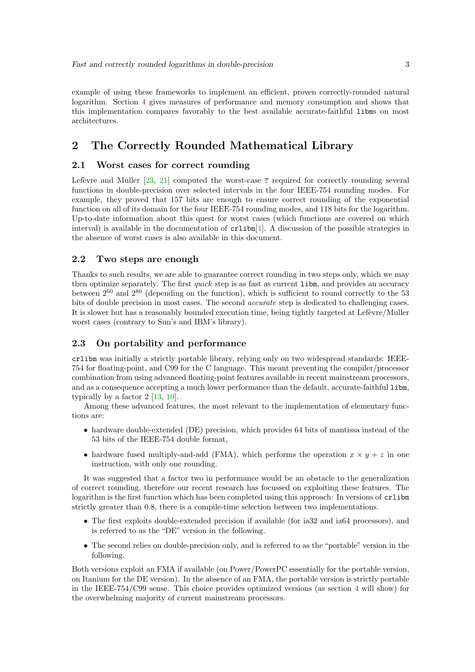example of using these frameworks to implement an efficient, proven correctly-rounded natural logarithm. Section [4](#page-11-1) gives measures of performance and memory consumption and shows that this implementation compares favorably to the best available accurate-faithful libms on most architectures.

# <span id="page-4-0"></span>2 The Correctly Rounded Mathematical Library

#### 2.1 Worst cases for correct rounding

Lefèvre and Muller [\[23,](#page-14-11) [21\]](#page-14-12) computed the worst-case  $\bar{\varepsilon}$  required for correctly rounding several functions in double-precision over selected intervals in the four IEEE-754 rounding modes. For example, they proved that 157 bits are enough to ensure correct rounding of the exponential function on all of its domain for the four IEEE-754 rounding modes, and 118 bits for the logarithm. Up-to-date information about this quest for worst cases (which functions are covered on which interval) is available in the documentation of crlibm[\[1\]](#page-13-2). A discussion of the possible strategies in the absence of worst cases is also available in this document.

#### 2.2 Two steps are enough

Thanks to such results, we are able to guarantee correct rounding in two steps only, which we may then optimize separately. The first *quick* step is as fast as current libm, and provides an accuracy between  $2^{60}$  and  $2^{80}$  (depending on the function), which is sufficient to round correctly to the 53 bits of double precision in most cases. The second accurate step is dedicated to challenging cases. It is slower but has a reasonably bounded execution time, being tightly targeted at Lefèvre/Muller worst cases (contrary to Sun's and IBM's library).

#### 2.3 On portability and performance

crlibm was initially a strictly portable library, relying only on two widespread standards: IEEE-754 for floating-point, and C99 for the C language. This meant preventing the compiler/processor combination from using advanced floating-point features available in recent mainstream processors, and as a consequence accepting a much lower performance than the default, accurate-faithful libm, typically by a factor 2 [\[13,](#page-14-13) 10].

Among these advanced features, the most relevant to the implementation of elementary functions are:

- hardware double-extended (DE) precision, which provides 64 bits of mantissa instead of the 53 bits of the IEEE-754 double format,
- hardware fused multiply-and-add (FMA), which performs the operation  $x \times y + z$  in one instruction, with only one rounding.

It was suggested that a factor two in performance would be an obstacle to the generalization of correct rounding, therefore our recent research has focussed on exploiting these features. The logarithm is the first function which has been completed using this approach: In versions of crlibm strictly greater than 0.8, there is a compile-time selection between two implementations.

- The first exploits double-extended precision if available (for ia32 and ia64 processors), and is referred to as the "DE" version in the following.
- The second relies on double-precision only, and is referred to as the "portable" version in the following.

Both versions exploit an FMA if available (on Power/PowerPC essentially for the portable version, on Itanium for the DE version). In the absence of an FMA, the portable version is strictly portable in the IEEE-754/C99 sense. This choice provides optimized versions (as section [4](#page-11-1) will show) for the overwhelming majority of current mainstream processors.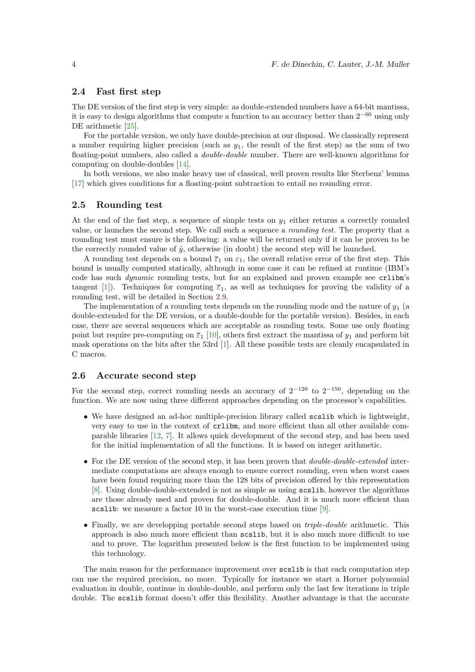#### 2.4 Fast first step

The DE version of the first step is very simple: as double-extended numbers have a 64-bit mantissa, it is easy to design algorithms that compute a function to an accuracy better than  $2^{-60}$  using only DE arithmetic [\[25\]](#page-14-7).

For the portable version, we only have double-precision at our disposal. We classically represent a number requiring higher precision (such as  $y_1$ , the result of the first step) as the sum of two floating-point numbers, also called a double-double number. There are well-known algorithms for computing on double-doubles [\[14\]](#page-14-14).

In both versions, we also make heavy use of classical, well proven results like Sterbenz' lemma [\[17\]](#page-14-0) which gives conditions for a floating-point subtraction to entail no rounding error.

#### 2.5 Rounding test

At the end of the fast step, a sequence of simple tests on  $y_1$  either returns a correctly rounded value, or launches the second step. We call such a sequence a rounding test. The property that a rounding test must ensure is the following: a value will be returned only if it can be proven to be the correctly rounded value of  $\hat{y}$ , otherwise (in doubt) the second step will be launched.

A rounding test depends on a bound  $\overline{\varepsilon}_1$  on  $\varepsilon_1$ , the overall relative error of the first step. This bound is usually computed statically, although in some case it can be refined at runtime (IBM's code has such dynamic rounding tests, but for an explained and proven example see crlibm's tangent [\[1\]](#page-13-2)). Techniques for computing  $\bar{\varepsilon}_1$ , as well as techniques for proving the validity of a rounding test, will be detailed in Section [2.9.](#page-7-0)

The implementation of a rounding tests depends on the rounding mode and the nature of  $y_1$  (a double-extended for the DE version, or a double-double for the portable version). Besides, in each case, there are several sequences which are acceptable as rounding tests. Some use only floating point but require pre-computing on  $\overline{\varepsilon}_1$  [10], others first extract the mantissa of  $y_1$  and perform bit mask operations on the bits after the 53rd [\[1\]](#page-13-2). All these possible tests are cleanly encapsulated in C macros.

#### 2.6 Accurate second step

For the second step, correct rounding needs an accuracy of  $2^{-120}$  to  $2^{-150}$ , depending on the function. We are now using three different approaches depending on the processor's capabilities.

- We have designed an ad-hoc multiple-precision library called scslib which is lightweight, very easy to use in the context of crlibm, and more efficient than all other available comparable libraries [\[12,](#page-14-15) [7\]](#page-13-3). It allows quick development of the second step, and has been used for the initial implementation of all the functions. It is based on integer arithmetic.
- For the DE version of the second step, it has been proven that *double-double-extended* intermediate computations are always enough to ensure correct rounding, even when worst cases have been found requiring more than the 128 bits of precision offered by this representation [\[8\]](#page-13-4). Using double-double-extended is not as simple as using scslib, however the algorithms are those already used and proven for double-double. And it is much more efficient than scslib: we measure a factor 10 in the worst-case execution time [\[9\]](#page-13-5).
- Finally, we are developping portable second steps based on *triple-double* arithmetic. This approach is also much more efficient than scslib, but it is also much more difficult to use and to prove. The logarithm presented below is the first function to be implemented using this technology.

The main reason for the performance improvement over scslib is that each computation step can use the required precision, no more. Typically for instance we start a Horner polynomial evaluation in double, continue in double-double, and perform only the last few iterations in triple double. The scslib format doesn't offer this flexibility. Another advantage is that the accurate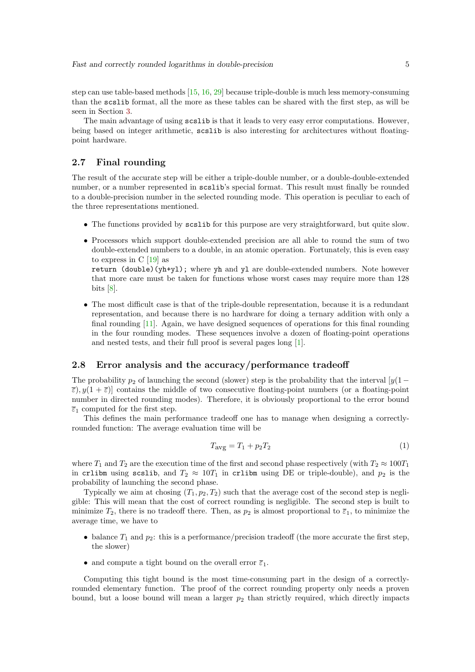step can use table-based methods [\[15,](#page-14-3) [16,](#page-14-4) [29\]](#page-14-5) because triple-double is much less memory-consuming than the scslib format, all the more as these tables can be shared with the first step, as will be seen in Section [3.](#page-8-0)

The main advantage of using scslib is that it leads to very easy error computations. However, being based on integer arithmetic, scslib is also interesting for architectures without floatingpoint hardware.

#### 2.7 Final rounding

The result of the accurate step will be either a triple-double number, or a double-double-extended number, or a number represented in scslib's special format. This result must finally be rounded to a double-precision number in the selected rounding mode. This operation is peculiar to each of the three representations mentioned.

- The functions provided by scslib for this purpose are very straightforward, but quite slow.
- Processors which support double-extended precision are all able to round the sum of two double-extended numbers to a double, in an atomic operation. Fortunately, this is even easy to express in C [\[19\]](#page-14-16) as

return (double)(yh+yl); where yh and yl are double-extended numbers. Note however that more care must be taken for functions whose worst cases may require more than 128 bits  $[8]$ .

• The most difficult case is that of the triple-double representation, because it is a redundant representation, and because there is no hardware for doing a ternary addition with only a final rounding [\[11\]](#page-14-17). Again, we have designed sequences of operations for this final rounding in the four rounding modes. These sequences involve a dozen of floating-point operations and nested tests, and their full proof is several pages long [\[1\]](#page-13-2).

### 2.8 Error analysis and the accuracy/performance tradeoff

The probability  $p_2$  of launching the second (slower) step is the probability that the interval  $[y(1 \bar{\varepsilon}$ ),  $y(1+\bar{\varepsilon})$  contains the middle of two consecutive floating-point numbers (or a floating-point number in directed rounding modes). Therefore, it is obviously proportional to the error bound  $\overline{\varepsilon}_1$  computed for the first step.

This defines the main performance tradeoff one has to manage when designing a correctlyrounded function: The average evaluation time will be

$$
T_{\text{avg}} = T_1 + p_2 T_2 \tag{1}
$$

where  $T_1$  and  $T_2$  are the execution time of the first and second phase respectively (with  $T_2 \approx 100T_1$ in crlibm using scslib, and  $T_2 \approx 10T_1$  in crlibm using DE or triple-double), and  $p_2$  is the probability of launching the second phase.

Typically we aim at chosing  $(T_1, p_2, T_2)$  such that the average cost of the second step is negligible: This will mean that the cost of correct rounding is negligible. The second step is built to minimize  $T_2$ , there is no tradeoff there. Then, as  $p_2$  is almost proportional to  $\bar{\varepsilon}_1$ , to minimize the average time, we have to

- balance  $T_1$  and  $p_2$ : this is a performance/precision tradeoff (the more accurate the first step, the slower)
- and compute a tight bound on the overall error  $\overline{\varepsilon}_1$ .

Computing this tight bound is the most time-consuming part in the design of a correctlyrounded elementary function. The proof of the correct rounding property only needs a proven bound, but a loose bound will mean a larger  $p_2$  than strictly required, which directly impacts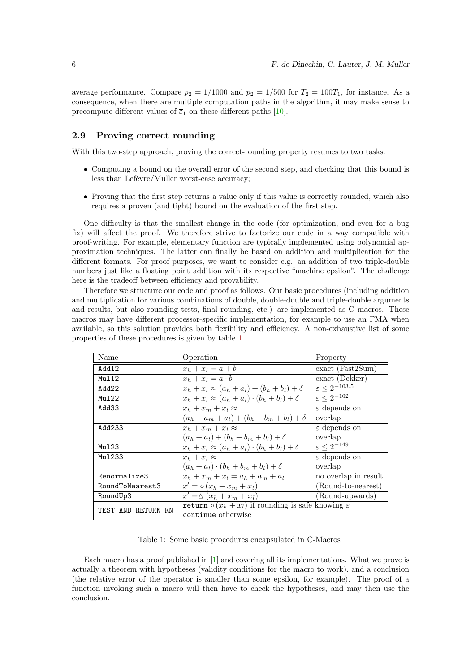average performance. Compare  $p_2 = 1/1000$  and  $p_2 = 1/500$  for  $T_2 = 100T_1$ , for instance. As a consequence, when there are multiple computation paths in the algorithm, it may make sense to precompute different values of  $\overline{\epsilon}_1$  on these different paths [10].

### <span id="page-7-0"></span>2.9 Proving correct rounding

With this two-step approach, proving the correct-rounding property resumes to two tasks:

- Computing a bound on the overall error of the second step, and checking that this bound is less than Lefèvre/Muller worst-case accuracy;
- Proving that the first step returns a value only if this value is correctly rounded, which also requires a proven (and tight) bound on the evaluation of the first step.

One difficulty is that the smallest change in the code (for optimization, and even for a bug fix) will affect the proof. We therefore strive to factorize our code in a way compatible with proof-writing. For example, elementary function are typically implemented using polynomial approximation techniques. The latter can finally be based on addition and multiplication for the different formats. For proof purposes, we want to consider e.g. an addition of two triple-double numbers just like a floating point addition with its respective "machine epsilon". The challenge here is the tradeoff between efficiency and provability.

Therefore we structure our code and proof as follows. Our basic procedures (including addition and multiplication for various combinations of double, double-double and triple-double arguments and results, but also rounding tests, final rounding, etc.) are implemented as C macros. These macros may have different processor-specific implementation, for example to use an FMA when available, so this solution provides both flexibility and efficiency. A non-exhaustive list of some properties of these procedures is given by table [1.](#page-7-1)

| Name               | Operation                                                                       | Property                      |  |
|--------------------|---------------------------------------------------------------------------------|-------------------------------|--|
| Add12              | $x_h + x_l = a + b$                                                             | $\text{exact}$ (Fast 2Sum)    |  |
| Mul12              | $x_h + x_l = a \cdot b$                                                         | exact (Dekker)                |  |
| Add22              | $x_h + x_l \approx (a_h + a_l) + (b_h + b_l) + \delta$                          | $\varepsilon \leq 2^{-103.5}$ |  |
| Mu122              | $x_h + x_l \approx (a_h + a_l) \cdot (b_h + b_l) + \delta$                      | $\varepsilon \leq 2^{-102}$   |  |
| Add33              | $x_h + x_m + x_l \approx$                                                       | $\varepsilon$ depends on      |  |
|                    | $(a_h + a_m + a_l) + (b_h + b_m + b_l) + \delta$                                | overlap                       |  |
| Add233             | $x_h + x_m + x_l \approx$                                                       | $\varepsilon$ depends on      |  |
|                    | $(a_h + a_l) + (b_h + b_m + b_l) + \delta$                                      | overlap                       |  |
| Mu123              | $x_h + x_l \approx (a_h + a_l) \cdot (b_h + b_l) + \delta$                      | $\varepsilon \leq 2^{-149}$   |  |
| Mu1233             | $x_h + x_l \approx$                                                             | $\varepsilon$ depends on      |  |
|                    | $(a_h + a_l) \cdot (b_h + b_m + b_l) + \delta$                                  | overlap                       |  |
| Renormalize3       | $x_h + x_m + x_l = a_h + a_m + a_l$                                             | no overlap in result          |  |
| RoundToNearest3    | $x' = \circ (x_h + x_m + x_l)$                                                  | (Round-to-nearest)            |  |
| RoundUp3           | $x' = \Delta (x_h + x_m + x_l)$                                                 | (Round-upwards)               |  |
| TEST_AND_RETURN_RN | return $\overline{\circ (x_h + x_l)}$ if rounding is safe knowing $\varepsilon$ |                               |  |
|                    | continue otherwise                                                              |                               |  |

<span id="page-7-1"></span>Table 1: Some basic procedures encapsulated in C-Macros

Each macro has a proof published in [\[1\]](#page-13-2) and covering all its implementations. What we prove is actually a theorem with hypotheses (validity conditions for the macro to work), and a conclusion (the relative error of the operator is smaller than some epsilon, for example). The proof of a function invoking such a macro will then have to check the hypotheses, and may then use the conclusion.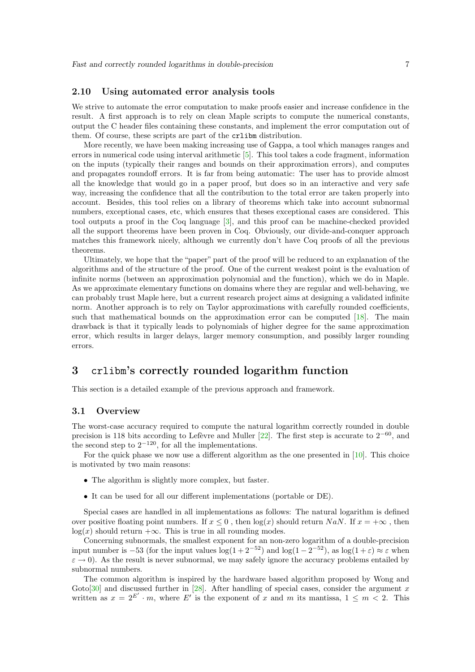#### 2.10 Using automated error analysis tools

We strive to automate the error computation to make proofs easier and increase confidence in the result. A first approach is to rely on clean Maple scripts to compute the numerical constants, output the C header files containing these constants, and implement the error computation out of them. Of course, these scripts are part of the crlibm distribution.

More recently, we have been making increasing use of Gappa, a tool which manages ranges and errors in numerical code using interval arithmetic [\[5\]](#page-13-6). This tool takes a code fragment, information on the inputs (typically their ranges and bounds on their approximation errors), and computes and propagates roundoff errors. It is far from being automatic: The user has to provide almost all the knowledge that would go in a paper proof, but does so in an interactive and very safe way, increasing the confidence that all the contribution to the total error are taken properly into account. Besides, this tool relies on a library of theorems which take into account subnormal numbers, exceptional cases, etc, which ensures that theses exceptional cases are considered. This tool outputs a proof in the Coq language [\[3\]](#page-13-7), and this proof can be machine-checked provided all the support theorems have been proven in Coq. Obviously, our divide-and-conquer approach matches this framework nicely, although we currently don't have Coq proofs of all the previous theorems.

Ultimately, we hope that the "paper" part of the proof will be reduced to an explanation of the algorithms and of the structure of the proof. One of the current weakest point is the evaluation of infinite norms (between an approximation polynomial and the function), which we do in Maple. As we approximate elementary functions on domains where they are regular and well-behaving, we can probably trust Maple here, but a current research project aims at designing a validated infinite norm. Another approach is to rely on Taylor approximations with carefully rounded coefficients, such that mathematical bounds on the approximation error can be computed [\[18\]](#page-14-10). The main drawback is that it typically leads to polynomials of higher degree for the same approximation error, which results in larger delays, larger memory consumption, and possibly larger rounding errors.

# <span id="page-8-0"></span>3 crlibm's correctly rounded logarithm function

This section is a detailed example of the previous approach and framework.

#### 3.1 Overview

The worst-case accuracy required to compute the natural logarithm correctly rounded in double precision is 118 bits according to Lefèvre and Muller [\[22\]](#page-14-18). The first step is accurate to  $2^{-60}$ , and the second step to  $2^{-120}$ , for all the implementations.

For the quick phase we now use a different algorithm as the one presented in [10]. This choice is motivated by two main reasons:

- The algorithm is slightly more complex, but faster.
- It can be used for all our different implementations (portable or DE).

Special cases are handled in all implementations as follows: The natural logarithm is defined over positive floating point numbers. If  $x \leq 0$ , then  $\log(x)$  should return NaN. If  $x = +\infty$ , then  $log(x)$  should return  $+\infty$ . This is true in all rounding modes.

Concerning subnormals, the smallest exponent for an non-zero logarithm of a double-precision input number is -53 (for the input values  $\log(1+2^{-52})$  and  $\log(1-2^{-52})$ , as  $\log(1+\varepsilon) \approx \varepsilon$  when  $\varepsilon \to 0$ ). As the result is never subnormal, we may safely ignore the accuracy problems entailed by subnormal numbers.

The common algorithm is inspired by the hardware based algorithm proposed by Wong and Goto[\[30\]](#page-15-1) and discussed further in [\[28\]](#page-14-6). After handling of special cases, consider the argument x written as  $x = 2^{E'} \cdot m$ , where E' is the exponent of x and m its mantissa,  $1 \le m < 2$ . This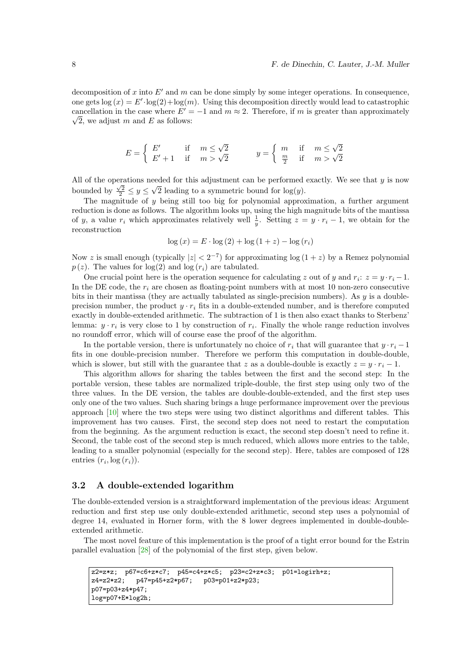decomposition of x into  $E'$  and m can be done simply by some integer operations. In consequence, one gets  $\log(x) = E' \cdot \log(2) + \log(m)$ . Using this decomposition directly would lead to catastrophic cancellation in the case where  $E' = -1$  and  $m \approx 2$ . Therefore, if m is greater than approximately  $\sqrt{2}$ , we adjust m and E as follows:

$$
E = \begin{cases} E' & \text{if } m \le \sqrt{2} \\ E' + 1 & \text{if } m > \sqrt{2} \end{cases} \qquad y = \begin{cases} m & \text{if } m \le \sqrt{2} \\ \frac{m}{2} & \text{if } m > \sqrt{2} \end{cases}
$$

All of the operations needed for this adjustment can be performed exactly. We see that  $y$  is now bounded by  $\frac{\sqrt{2}}{2} \leq y \leq \sqrt{2}$  leading to a symmetric bound for  $\log(y)$ .

The magnitude of  $y$  being still too big for polynomial approximation, a further argument reduction is done as follows. The algorithm looks up, using the high magnitude bits of the mantissa of y, a value  $r_i$  which approximates relatively well  $\frac{1}{y}$ . Setting  $z = y \cdot r_i - 1$ , we obtain for the reconstruction

$$
\log(x) = E \cdot \log(2) + \log(1 + z) - \log(r_i)
$$

Now z is small enough (typically  $|z| < 2^{-7}$ ) for approximating log  $(1+z)$  by a Remez polynomial  $p(z)$ . The values for  $log(2)$  and  $log(r<sub>i</sub>)$  are tabulated.

One crucial point here is the operation sequence for calculating z out of y and  $r_i$ :  $z = y \cdot r_i - 1$ . In the DE code, the  $r_i$  are chosen as floating-point numbers with at most 10 non-zero consecutive bits in their mantissa (they are actually tabulated as single-precision numbers). As y is a doubleprecision number, the product  $y \cdot r_i$  fits in a double-extended number, and is therefore computed exactly in double-extended arithmetic. The subtraction of 1 is then also exact thanks to Sterbenz' lemma:  $y \cdot r_i$  is very close to 1 by construction of  $r_i$ . Finally the whole range reduction involves no roundoff error, which will of course ease the proof of the algorithm.

In the portable version, there is unfortunately no choice of  $r_i$  that will guarantee that  $y \cdot r_i - 1$ fits in one double-precision number. Therefore we perform this computation in double-double, which is slower, but still with the guarantee that z as a double-double is exactly  $z = y \cdot r_i - 1$ .

This algorithm allows for sharing the tables between the first and the second step: In the portable version, these tables are normalized triple-double, the first step using only two of the three values. In the DE version, the tables are double-double-extended, and the first step uses only one of the two values. Such sharing brings a huge performance improvement over the previous approach [10] where the two steps were using two distinct algorithms and different tables. This improvement has two causes. First, the second step does not need to restart the computation from the beginning. As the argument reduction is exact, the second step doesn't need to refine it. Second, the table cost of the second step is much reduced, which allows more entries to the table, leading to a smaller polynomial (especially for the second step). Here, tables are composed of 128 entries  $(r_i, \log(r_i))$ .

#### 3.2 A double-extended logarithm

The double-extended version is a straightforward implementation of the previous ideas: Argument reduction and first step use only double-extended arithmetic, second step uses a polynomial of degree 14, evaluated in Horner form, with the 8 lower degrees implemented in double-doubleextended arithmetic.

The most novel feature of this implementation is the proof of a tight error bound for the Estrin parallel evaluation [\[28\]](#page-14-6) of the polynomial of the first step, given below.

```
z2=z*z; p67=c6+z*c7; p45=c4+z*c5; p23=c2+z*c3; p01=logirh+z;
z4=z2*z2; p47=p45+z2*p67; p03=p01+z2*p23;
p07=p03+z4*p47;
log=p07+E*log2h;
```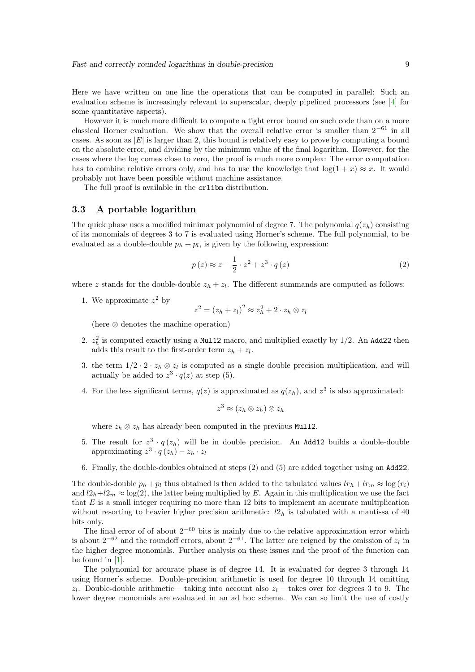Here we have written on one line the operations that can be computed in parallel: Such an evaluation scheme is increasingly relevant to superscalar, deeply pipelined processors (see [\[4\]](#page-13-8) for some quantitative aspects).

However it is much more difficult to compute a tight error bound on such code than on a more classical Horner evaluation. We show that the overall relative error is smaller than  $2^{-61}$  in all cases. As soon as  $|E|$  is larger than 2, this bound is relatively easy to prove by computing a bound on the absolute error, and dividing by the minimum value of the final logarithm. However, for the cases where the log comes close to zero, the proof is much more complex: The error computation has to combine relative errors only, and has to use the knowledge that  $log(1 + x) \approx x$ . It would probably not have been possible without machine assistance.

The full proof is available in the crlibm distribution.

#### 3.3 A portable logarithm

The quick phase uses a modified minimax polynomial of degree 7. The polynomial  $q(z_h)$  consisting of its monomials of degrees 3 to 7 is evaluated using Horner's scheme. The full polynomial, to be evaluated as a double-double  $p_h + p_l$ , is given by the following expression:

$$
p(z) \approx z - \frac{1}{2} \cdot z^2 + z^3 \cdot q(z) \tag{2}
$$

where z stands for the double-double  $z_h + z_l$ . The different summands are computed as follows:

1. We approximate  $z^2$  by

$$
z^2 = (z_h + z_l)^2 \approx z_h^2 + 2 \cdot z_h \otimes z_l
$$

(here ⊗ denotes the machine operation)

- 2.  $z<sub>h</sub><sup>2</sup>$  is computed exactly using a Multiplied macro, and multiplied exactly by 1/2. An Add22 then adds this result to the first-order term  $z_h + z_l$ .
- 3. the term  $1/2 \cdot 2 \cdot z_h \otimes z_l$  is computed as a single double precision multiplication, and will actually be added to  $z^3 \cdot q(z)$  at step (5).
- 4. For the less significant terms,  $q(z)$  is approximated as  $q(z_h)$ , and  $z^3$  is also approximated:

$$
z^3\approx (z_h\otimes z_h)\otimes z_h
$$

where  $z_h \otimes z_h$  has already been computed in the previous Mul12.

- 5. The result for  $z^3 \cdot q(z_h)$  will be in double precision. An Add12 builds a double-double approximating  $z^3 \cdot q(z_h) - z_h \cdot z_l$
- 6. Finally, the double-doubles obtained at steps (2) and (5) are added together using an Add22.

The double-double  $p_h + p_l$  thus obtained is then added to the tabulated values  $lr_h + lr_m \approx \log(r_i)$ and  $l2_h+l2_m \approx \log(2)$ , the latter being multiplied by E. Again in this multiplication we use the fact that  $E$  is a small integer requiring no more than 12 bits to implement an accurate multiplication without resorting to heavier higher precision arithmetic:  $l_2$ <sub>h</sub> is tabulated with a mantissa of 40 bits only.

The final error of of about  $2^{-60}$  bits is mainly due to the relative approximation error which is about  $2^{-62}$  and the roundoff errors, about  $2^{-61}$ . The latter are reigned by the omission of  $z_l$  in the higher degree monomials. Further analysis on these issues and the proof of the function can be found in [\[1\]](#page-13-2).

The polynomial for accurate phase is of degree 14. It is evaluated for degree 3 through 14 using Horner's scheme. Double-precision arithmetic is used for degree 10 through 14 omitting  $z_l$ . Double-double arithmetic – taking into account also  $z_l$  – takes over for degrees 3 to 9. The lower degree monomials are evaluated in an ad hoc scheme. We can so limit the use of costly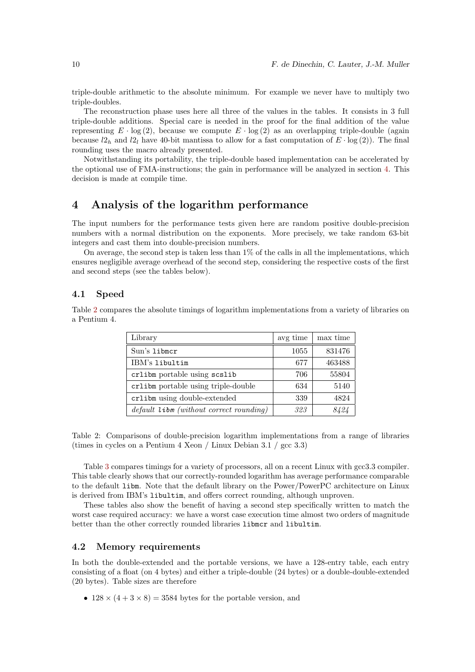triple-double arithmetic to the absolute minimum. For example we never have to multiply two triple-doubles.

The reconstruction phase uses here all three of the values in the tables. It consists in 3 full triple-double additions. Special care is needed in the proof for the final addition of the value representing  $E \cdot \log(2)$ , because we compute  $E \cdot \log(2)$  as an overlapping triple-double (again because  $l2_h$  and  $l2_l$  have 40-bit mantissa to allow for a fast computation of  $E \cdot \log(2)$ . The final rounding uses the macro already presented.

Notwithstanding its portability, the triple-double based implementation can be accelerated by the optional use of FMA-instructions; the gain in performance will be analyzed in section [4.](#page-11-1) This decision is made at compile time.

## <span id="page-11-1"></span>4 Analysis of the logarithm performance

The input numbers for the performance tests given here are random positive double-precision numbers with a normal distribution on the exponents. More precisely, we take random 63-bit integers and cast them into double-precision numbers.

On average, the second step is taken less than 1% of the calls in all the implementations, which ensures negligible average overhead of the second step, considering the respective costs of the first and second steps (see the tables below).

#### 4.1 Speed

Table [2](#page-11-0) compares the absolute timings of logarithm implementations from a variety of libraries on a Pentium 4.

| Library                                     | avg time | max time |
|---------------------------------------------|----------|----------|
| Sun's libmcr                                | 1055     | 831476   |
| IBM's libultim                              | 677      | 463488   |
| crlibm portable using scslib                | 706      | 55804    |
| crlibm portable using triple-double         | 634      | 5140     |
| crlibm using double-extended                | 339      | 4824     |
| $default$ $libm$ (without correct rounding) | 323      | 8424     |

<span id="page-11-0"></span>Table 2: Comparisons of double-precision logarithm implementations from a range of libraries (times in cycles on a Pentium 4 Xeon / Linux Debian 3.1 / gcc 3.3)

Table [3](#page-12-0) compares timings for a variety of processors, all on a recent Linux with gcc3.3 compiler. This table clearly shows that our correctly-rounded logarithm has average performance comparable to the default libm. Note that the default library on the Power/PowerPC architecture on Linux is derived from IBM's libultim, and offers correct rounding, although unproven.

These tables also show the benefit of having a second step specifically written to match the worst case required accuracy: we have a worst case execution time almost two orders of magnitude better than the other correctly rounded libraries libmcr and libultim.

#### 4.2 Memory requirements

In both the double-extended and the portable versions, we have a 128-entry table, each entry consisting of a float (on 4 bytes) and either a triple-double (24 bytes) or a double-double-extended (20 bytes). Table sizes are therefore

•  $128 \times (4+3\times 8) = 3584$  bytes for the portable version, and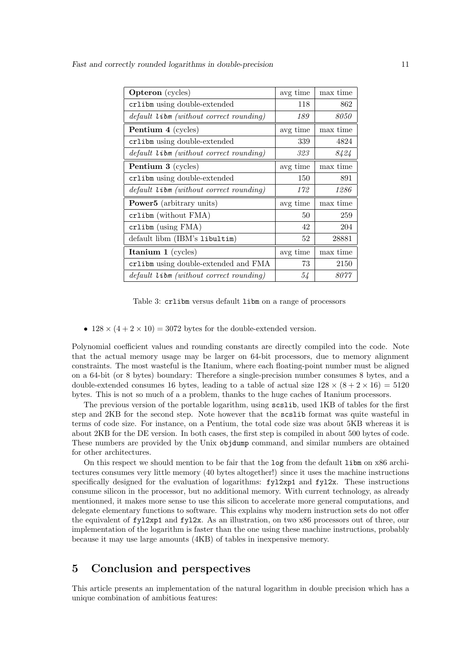| <b>Opteron</b> (cycles)                   | avg time | max time |
|-------------------------------------------|----------|----------|
| crlibm using double-extended              | 118      | 862      |
| $default$ libm (without correct rounding) | 189      | 8050     |
| Pentium 4 (cycles)                        | avg time | max time |
| crlibm using double-extended              | 339      | 4824     |
| $default$ libm (without correct rounding) | 323      | 8424     |
| <b>Pentium 3</b> (cycles)                 | avg time | max time |
| crlibm using double-extended              | 150      | 891      |
| $default$ libm (without correct rounding) | 172      | 1286     |
| <b>Power5</b> (arbitrary units)           | avg time | max time |
| $c$ rlibm (without $FMA$ )                | 50       | 259      |
| crlibm (using FMA)                        | 42       | 204      |
| default libm (IBM's libultim)             | 52       | 28881    |
| Itanium $1$ (cycles)                      | avg time | max time |
| crlibm using double-extended and FMA      | 73       | 2150     |
| $default$ libm (without correct rounding) | 54       | 8077     |

<span id="page-12-0"></span>Table 3: crlibm versus default libm on a range of processors

•  $128 \times (4 + 2 \times 10) = 3072$  bytes for the double-extended version.

Polynomial coefficient values and rounding constants are directly compiled into the code. Note that the actual memory usage may be larger on 64-bit processors, due to memory alignment constraints. The most wasteful is the Itanium, where each floating-point number must be aligned on a 64-bit (or 8 bytes) boundary: Therefore a single-precision number consumes 8 bytes, and a double-extended consumes 16 bytes, leading to a table of actual size  $128 \times (8 + 2 \times 16) = 5120$ bytes. This is not so much of a a problem, thanks to the huge caches of Itanium processors.

The previous version of the portable logarithm, using scslib, used 1KB of tables for the first step and 2KB for the second step. Note however that the scslib format was quite wasteful in terms of code size. For instance, on a Pentium, the total code size was about 5KB whereas it is about 2KB for the DE version. In both cases, the first step is compiled in about 500 bytes of code. These numbers are provided by the Unix objdump command, and similar numbers are obtained for other architectures.

On this respect we should mention to be fair that the log from the default libm on x86 architectures consumes very little memory (40 bytes altogether!) since it uses the machine instructions specifically designed for the evaluation of logarithms:  $fyl2xp1$  and  $fyl2x$ . These instructions consume silicon in the processor, but no additional memory. With current technology, as already mentionned, it makes more sense to use this silicon to accelerate more general computations, and delegate elementary functions to software. This explains why modern instruction sets do not offer the equivalent of fyl2xp1 and fyl2x. As an illustration, on two x86 processors out of three, our implementation of the logarithm is faster than the one using these machine instructions, probably because it may use large amounts (4KB) of tables in inexpensive memory.

### 5 Conclusion and perspectives

This article presents an implementation of the natural logarithm in double precision which has a unique combination of ambitious features: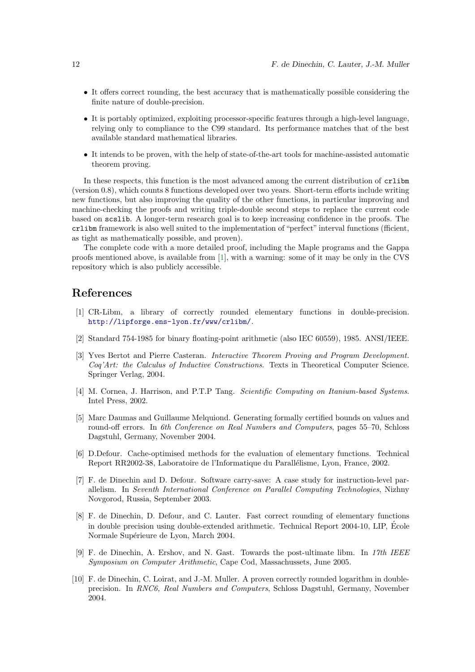- It offers correct rounding, the best accuracy that is mathematically possible considering the finite nature of double-precision.
- It is portably optimized, exploiting processor-specific features through a high-level language, relying only to compliance to the C99 standard. Its performance matches that of the best available standard mathematical libraries.
- It intends to be proven, with the help of state-of-the-art tools for machine-assisted automatic theorem proving.

In these respects, this function is the most advanced among the current distribution of crlibm (version 0.8), which counts 8 functions developed over two years. Short-term efforts include writing new functions, but also improving the quality of the other functions, in particular improving and machine-checking the proofs and writing triple-double second steps to replace the current code based on scslib. A longer-term research goal is to keep increasing confidence in the proofs. The crlibm framework is also well suited to the implementation of "perfect" interval functions (fficient, as tight as mathematically possible, and proven).

The complete code with a more detailed proof, including the Maple programs and the Gappa proofs mentioned above, is available from [\[1\]](#page-13-2), with a warning: some of it may be only in the CVS repository which is also publicly accessible.

# <span id="page-13-2"></span>References

- [1] CR-Libm, a library of correctly rounded elementary functions in double-precision. <http://lipforge.ens-lyon.fr/www/crlibm/>.
- <span id="page-13-7"></span><span id="page-13-0"></span>[2] Standard 754-1985 for binary floating-point arithmetic (also IEC 60559), 1985. ANSI/IEEE.
- [3] Yves Bertot and Pierre Casteran. Interactive Theorem Proving and Program Development. Coq'Art: the Calculus of Inductive Constructions. Texts in Theoretical Computer Science. Springer Verlag, 2004.
- <span id="page-13-8"></span>[4] M. Cornea, J. Harrison, and P.T.P Tang. Scientific Computing on Itanium-based Systems. Intel Press, 2002.
- <span id="page-13-6"></span>[5] Marc Daumas and Guillaume Melquiond. Generating formally certified bounds on values and round-off errors. In 6th Conference on Real Numbers and Computers, pages 55–70, Schloss Dagstuhl, Germany, November 2004.
- <span id="page-13-1"></span>[6] D.Defour. Cache-optimised methods for the evaluation of elementary functions. Technical Report RR2002-38, Laboratoire de l'Informatique du Parallélisme, Lyon, France, 2002.
- <span id="page-13-3"></span>[7] F. de Dinechin and D. Defour. Software carry-save: A case study for instruction-level parallelism. In Seventh International Conference on Parallel Computing Technologies, Nizhny Novgorod, Russia, September 2003.
- <span id="page-13-4"></span>[8] F. de Dinechin, D. Defour, and C. Lauter. Fast correct rounding of elementary functions in double precision using double-extended arithmetic. Technical Report 2004-10, LIP, Ecole ´ Normale Supérieure de Lyon, March 2004.
- <span id="page-13-5"></span>[9] F. de Dinechin, A. Ershov, and N. Gast. Towards the post-ultimate libm. In 17th IEEE Symposium on Computer Arithmetic, Cape Cod, Massachussets, June 2005.
- [10] F. de Dinechin, C. Loirat, and J.-M. Muller. A proven correctly rounded logarithm in doubleprecision. In RNC6, Real Numbers and Computers, Schloss Dagstuhl, Germany, November 2004.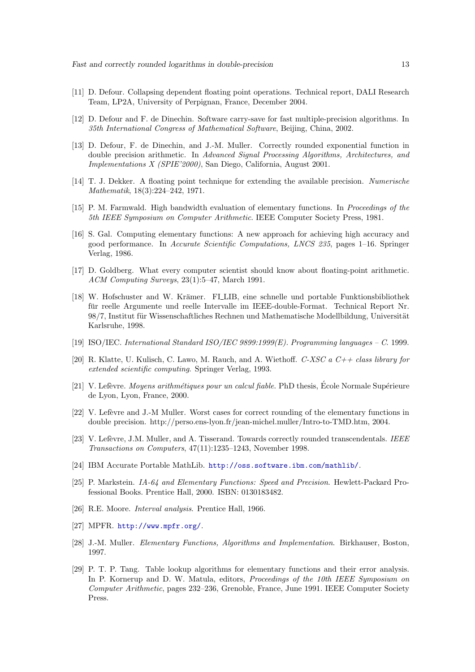- <span id="page-14-17"></span><span id="page-14-15"></span>[11] D. Defour. Collapsing dependent floating point operations. Technical report, DALI Research Team, LP2A, University of Perpignan, France, December 2004.
- <span id="page-14-13"></span>[12] D. Defour and F. de Dinechin. Software carry-save for fast multiple-precision algorithms. In 35th International Congress of Mathematical Software, Beijing, China, 2002.
- [13] D. Defour, F. de Dinechin, and J.-M. Muller. Correctly rounded exponential function in double precision arithmetic. In Advanced Signal Processing Algorithms, Architectures, and Implementations X (SPIE'2000), San Diego, California, August 2001.
- <span id="page-14-14"></span><span id="page-14-3"></span>[14] T. J. Dekker. A floating point technique for extending the available precision. Numerische Mathematik, 18(3):224–242, 1971.
- <span id="page-14-4"></span>[15] P. M. Farmwald. High bandwidth evaluation of elementary functions. In Proceedings of the 5th IEEE Symposium on Computer Arithmetic. IEEE Computer Society Press, 1981.
- [16] S. Gal. Computing elementary functions: A new approach for achieving high accuracy and good performance. In Accurate Scientific Computations, LNCS 235, pages 1–16. Springer Verlag, 1986.
- <span id="page-14-0"></span>[17] D. Goldberg. What every computer scientist should know about floating-point arithmetic. ACM Computing Surveys, 23(1):5–47, March 1991.
- <span id="page-14-10"></span>[18] W. Hofschuster and W. Krämer. FLLIB, eine schnelle und portable Funktionsbibliothek für reelle Argumente und reelle Intervalle im IEEE-double-Format. Technical Report Nr. 98/7, Institut für Wissenschaftliches Rechnen und Mathematische Modellbildung, Universität Karlsruhe, 1998.
- <span id="page-14-16"></span><span id="page-14-2"></span>[19] ISO/IEC. International Standard ISO/IEC 9899:1999(E). Programming languages – C. 1999.
- [20] R. Klatte, U. Kulisch, C. Lawo, M. Rauch, and A. Wiethoff. C-XSC a  $C++$  class library for extended scientific computing. Springer Verlag, 1993.
- <span id="page-14-12"></span>[21] V. Lefèvre. Moyens arithmétiques pour un calcul fiable. PhD thesis, École Normale Supérieure de Lyon, Lyon, France, 2000.
- <span id="page-14-18"></span>[22] V. Lefèvre and J.-M Muller. Worst cases for correct rounding of the elementary functions in double precision. http://perso.ens-lyon.fr/jean-michel.muller/Intro-to-TMD.htm, 2004.
- <span id="page-14-11"></span>[23] V. Lefèvre, J.M. Muller, and A. Tisserand. Towards correctly rounded transcendentals. IEEE Transactions on Computers, 47(11):1235–1243, November 1998.
- <span id="page-14-9"></span><span id="page-14-7"></span>[24] IBM Accurate Portable MathLib. <http://oss.software.ibm.com/mathlib/>.
- [25] P. Markstein. IA-64 and Elementary Functions: Speed and Precision. Hewlett-Packard Professional Books. Prentice Hall, 2000. ISBN: 0130183482.
- <span id="page-14-8"></span><span id="page-14-1"></span>[26] R.E. Moore. Interval analysis. Prentice Hall, 1966.
- <span id="page-14-6"></span>[27] MPFR. <http://www.mpfr.org/>.
- <span id="page-14-5"></span>[28] J.-M. Muller. Elementary Functions, Algorithms and Implementation. Birkhauser, Boston, 1997.
- [29] P. T. P. Tang. Table lookup algorithms for elementary functions and their error analysis. In P. Kornerup and D. W. Matula, editors, *Proceedings of the 10th IEEE Symposium on* Computer Arithmetic, pages 232–236, Grenoble, France, June 1991. IEEE Computer Society Press.